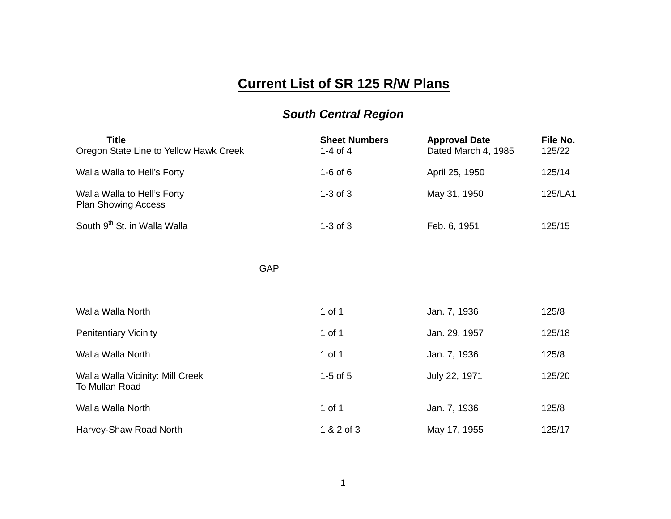## **Current List of SR 125 R/W Plans**

## *South Central Region*

| <b>Title</b><br>Oregon State Line to Yellow Hawk Creek    | <b>Sheet Numbers</b><br>$1-4$ of $4$ | <b>Approval Date</b><br>Dated March 4, 1985 | File No.<br>125/22 |
|-----------------------------------------------------------|--------------------------------------|---------------------------------------------|--------------------|
| Walla Walla to Hell's Forty                               | $1-6$ of $6$                         | April 25, 1950                              | 125/14             |
| Walla Walla to Hell's Forty<br><b>Plan Showing Access</b> | $1-3$ of $3$                         | May 31, 1950                                | 125/LA1            |
| South 9th St. in Walla Walla                              | $1-3$ of $3$                         | Feb. 6, 1951                                | 125/15             |
|                                                           |                                      |                                             |                    |
| GAP                                                       |                                      |                                             |                    |
|                                                           |                                      |                                             |                    |
| Walla Walla North                                         | 1 of 1                               | Jan. 7, 1936                                | 125/8              |
| <b>Penitentiary Vicinity</b>                              | 1 of 1                               | Jan. 29, 1957                               | 125/18             |
| Walla Walla North                                         | 1 of 1                               | Jan. 7, 1936                                | 125/8              |
| Walla Walla Vicinity: Mill Creek<br>To Mullan Road        | $1-5$ of $5$                         | July 22, 1971                               | 125/20             |
| Walla Walla North                                         | 1 of 1                               | Jan. 7, 1936                                | 125/8              |
| Harvey-Shaw Road North                                    | 1 & 2 of 3                           | May 17, 1955                                | 125/17             |